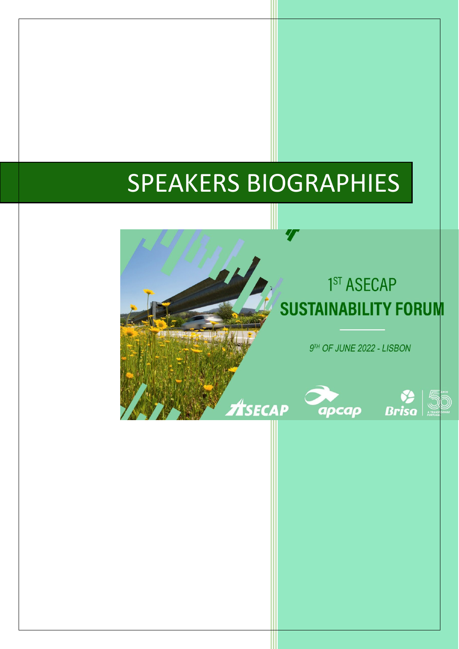# SPEAKERS BIOGRAPHIES

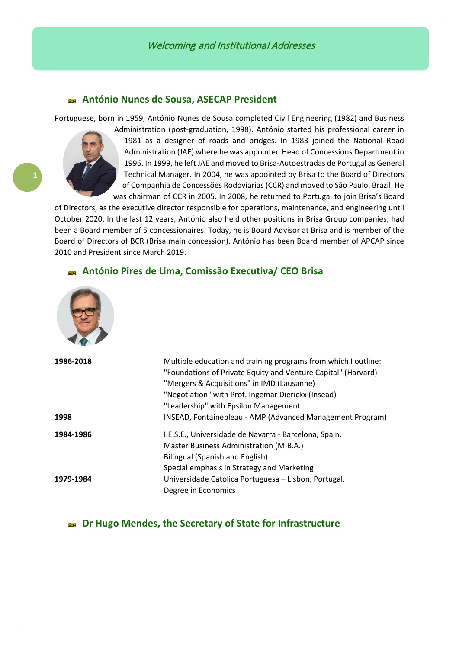# **António Nunes de Sousa, ASECAP President**

Portuguese, born in 1959, António Nunes de Sousa completed Civil Engineering (1982) and Business



Administration (post-graduation, 1998). António started his professional career in 1981 as a designer of roads and bridges. In 1983 joined the National Road Administration (JAE) where he was appointed Head of Concessions Department in 1996. In 1999, he left JAE and moved to Brisa-Autoestradas de Portugal as General Technical Manager. In 2004, he was appointed by Brisa to the Board of Directors of Companhia de Concessões Rodoviárias (CCR) and moved to São Paulo, Brazil. He was chairman of CCR in 2005. In 2008, he returned to Portugal to join Brisa's Board

of Directors, as the executive director responsible for operations, maintenance, and engineering until October 2020. In the last 12 years, António also held other positions in Brisa Group companies, had been a Board member of 5 concessionaires. Today, he is Board Advisor at Brisa and is member of the Board of Directors of BCR (Brisa main concession). António has been Board member of APCAP since 2010 and President since March 2019.

# **António Pires de Lima, Comissão Executiva/ CEO Brisa**



| 1986-2018 | Multiple education and training programs from which I outline:<br>"Foundations of Private Equity and Venture Capital" (Harvard) |
|-----------|---------------------------------------------------------------------------------------------------------------------------------|
|           | "Mergers & Acquisitions" in IMD (Lausanne)<br>"Negotiation" with Prof. Ingemar Dierickx (Insead)                                |
|           | "Leadership" with Epsilon Management                                                                                            |
| 1998      | INSEAD, Fontainebleau - AMP (Advanced Management Program)                                                                       |
| 1984-1986 | I.E.S.E., Universidade de Navarra - Barcelona, Spain.                                                                           |
|           | Master Business Administration (M.B.A.)                                                                                         |
|           | Bilingual (Spanish and English).                                                                                                |
|           | Special emphasis in Strategy and Marketing                                                                                      |
| 1979-1984 | Universidade Católica Portuguesa - Lisbon, Portugal.                                                                            |
|           | Degree in Economics                                                                                                             |

# **Dr Hugo Mendes, the Secretary of State for Infrastructure**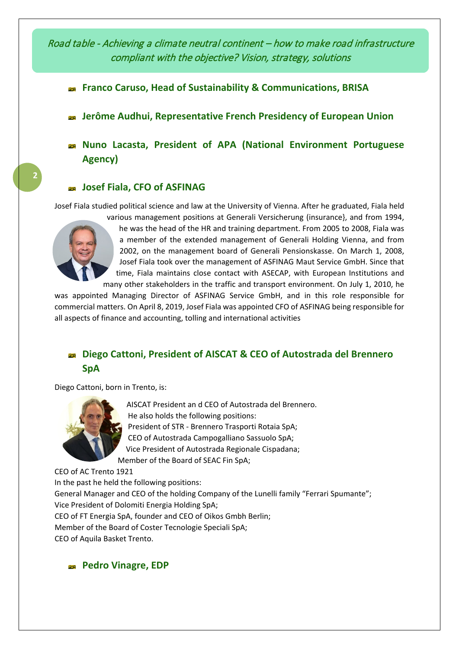Road table - Achieving a climate neutral continent – how to make road infrastructure compliant with the objective? Vision, strategy, solutions

- **Franco Caruso, Head of Sustainability & Communications, BRISA**
- **Jerôme Audhui, Representative French Presidency of European Union**
- **Nuno Lacasta, President of APA (National Environment Portuguese Agency)**

# **Josef Fiala, CFO of ASFINAG**

Josef Fiala studied political science and law at the University of Vienna. After he graduated, Fiala held



**2**

various management positions at Generali Versicherung (insurance}, and from 1994, he was the head of the HR and training department. From 2005 to 2008, Fiala was a member of the extended management of Generali Holding Vienna, and from 2002, on the management board of Generali Pensionskasse. On March 1, 2008, Josef Fiala took over the management of ASFINAG Maut Service GmbH. Since that time, Fiala maintains close contact with ASECAP, with European Institutions and many other stakeholders in the traffic and transport environment. On July 1, 2010, he

was appointed Managing Director of ASFINAG Service GmbH, and in this role responsible for commercial matters. On April 8, 2019, Josef Fiala was appointed CFO of ASFINAG being responsible for all aspects of finance and accounting, tolling and international activities

# **Diego Cattoni, President of AISCAT & CEO of Autostrada del Brennero SpA**

Diego Cattoni, born in Trento, is:



AISCAT President an d CEO of Autostrada del Brennero. He also holds the following positions: President of STR - Brennero Trasporti Rotaia SpA; CEO of Autostrada Campogalliano Sassuolo SpA; Vice President of Autostrada Regionale Cispadana; Member of the Board of SEAC Fin SpA;

CEO of AC Trento 1921 In the past he held the following positions: General Manager and CEO of the holding Company of the Lunelli family "Ferrari Spumante"; Vice President of Dolomiti Energia Holding SpA; CEO of FT Energia SpA, founder and CEO of Oikos Gmbh Berlin; Member of the Board of Coster Tecnologie Speciali SpA; CEO of Aquila Basket Trento.

**Pedro Vinagre, EDP**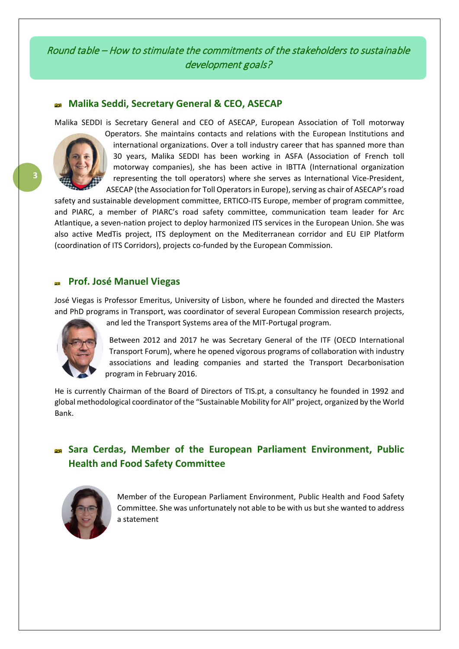# Round table – How to stimulate the commitments of the stakeholders to sustainable development goals?

# **Malika Seddi, Secretary General & CEO, ASECAP**

Malika SEDDI is Secretary General and CEO of ASECAP, European Association of Toll motorway



Operators. She maintains contacts and relations with the European Institutions and international organizations. Over a toll industry career that has spanned more than 30 years, Malika SEDDI has been working in ASFA (Association of French toll motorway companies), she has been active in IBTTA (International organization representing the toll operators) where she serves as International Vice-President, ASECAP (the Association for Toll Operators in Europe), serving as chair of ASECAP's road

safety and sustainable development committee, ERTICO-ITS Europe, member of program committee, and PIARC, a member of PIARC's road safety committee, communication team leader for Arc Atlantique, a seven-nation project to deploy harmonized ITS services in the European Union. She was also active MedTis project, ITS deployment on the Mediterranean corridor and EU EIP Platform (coordination of ITS Corridors), projects co-funded by the European Commission.

# **Prof. José Manuel Viegas**

José Viegas is Professor Emeritus, University of Lisbon, where he founded and directed the Masters and PhD programs in Transport, was coordinator of several European Commission research projects,



and led the Transport Systems area of the MIT-Portugal program.

Between 2012 and 2017 he was Secretary General of the ITF (OECD International Transport Forum), where he opened vigorous programs of collaboration with industry associations and leading companies and started the Transport Decarbonisation program in February 2016.

He is currently Chairman of the Board of Directors of TIS.pt, a consultancy he founded in 1992 and global methodological coordinator of the "Sustainable Mobility for All" project, organized by the World Bank.

# **Sara Cerdas, Member of the European Parliament Environment, Public Health and Food Safety Committee**



Member of the European Parliament Environment, Public Health and Food Safety Committee. She was unfortunately not able to be with us but she wanted to address a statement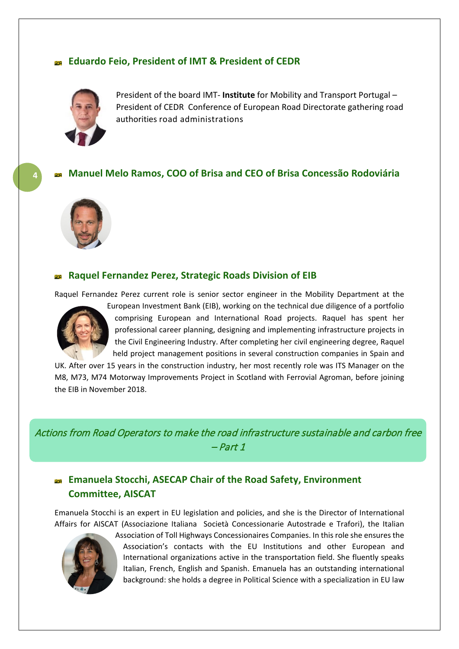# **Eduardo Feio, President of IMT & President of CEDR**



President of the board IMT- **Institute** for Mobility and Transport Portugal – President of CEDR Conference of European Road Directorate gathering road authorities road administrations

# **Manuel Melo Ramos, COO of Brisa and CEO of Brisa Concessão Rodoviária**



**4**

# **Raquel Fernandez Perez, Strategic Roads Division of EIB**

Raquel Fernandez Perez current role is senior sector engineer in the Mobility Department at the



European Investment Bank (EIB), working on the technical due diligence of a portfolio comprising European and International Road projects. Raquel has spent her professional career planning, designing and implementing infrastructure projects in the Civil Engineering Industry. After completing her civil engineering degree, Raquel held project management positions in several construction companies in Spain and

UK. After over 15 years in the construction industry, her most recently role was ITS Manager on the M8, M73, M74 Motorway Improvements Project in Scotland with Ferrovial Agroman, before joining the EIB in November 2018.

Actions from Road Operators to make the road infrastructure sustainable and carbon free – Part 1

# **Emanuela Stocchi, ASECAP Chair of the Road Safety, Environment Committee, AISCAT**

Emanuela Stocchi is an expert in EU legislation and policies, and she is the Director of International Affairs for AISCAT (Associazione Italiana Società Concessionarie Autostrade e Trafori), the Italian



Association of Toll Highways Concessionaires Companies. In this role she ensures the Association's contacts with the EU Institutions and other European and International organizations active in the transportation field. She fluently speaks Italian, French, English and Spanish. Emanuela has an outstanding international background: she holds a degree in Political Science with a specialization in EU law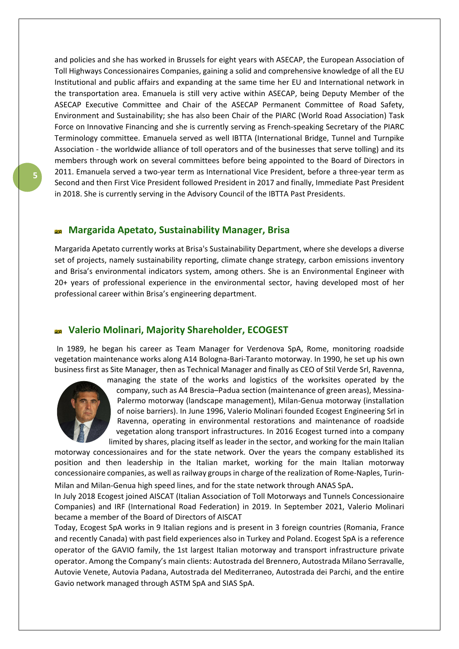and policies and she has worked in Brussels for eight years with ASECAP, the European Association of Toll Highways Concessionaires Companies, gaining a solid and comprehensive knowledge of all the EU Institutional and public affairs and expanding at the same time her EU and International network in the transportation area. Emanuela is still very active within ASECAP, being Deputy Member of the ASECAP Executive Committee and Chair of the ASECAP Permanent Committee of Road Safety, Environment and Sustainability; she has also been Chair of the PIARC (World Road Association) Task Force on Innovative Financing and she is currently serving as French-speaking Secretary of the PIARC Terminology committee. Emanuela served as well IBTTA (International Bridge, Tunnel and Turnpike Association - the worldwide alliance of toll operators and of the businesses that serve tolling) and its members through work on several committees before being appointed to the Board of Directors in 2011. Emanuela served a two-year term as International Vice President, before a three-year term as Second and then First Vice President followed President in 2017 and finally, Immediate Past President in 2018. She is currently serving in the Advisory Council of the IBTTA Past Presidents.

#### **Margarida Apetato, Sustainability Manager, Brisa**

Margarida Apetato currently works at Brisa's Sustainability Department, where she develops a diverse set of projects, namely sustainability reporting, climate change strategy, carbon emissions inventory and Brisa's environmental indicators system, among others. She is an Environmental Engineer with 20+ years of professional experience in the environmental sector, having developed most of her professional career within Brisa's engineering department.

# **Valerio Molinari, Majority Shareholder, ECOGEST**

In 1989, he began his career as Team Manager for Verdenova SpA, Rome, monitoring roadside vegetation maintenance works along A14 Bologna-Bari-Taranto motorway. In 1990, he set up his own business first as Site Manager, then as Technical Manager and finally as CEO of Stil Verde Srl, Ravenna,



managing the state of the works and logistics of the worksites operated by the company, such as A4 Brescia–Padua section (maintenance of green areas), Messina-Palermo motorway (landscape management), Milan-Genua motorway (installation of noise barriers). In June 1996, Valerio Molinari founded Ecogest Engineering Srl in Ravenna, operating in environmental restorations and maintenance of roadside vegetation along transport infrastructures. In 2016 Ecogest turned into a company limited by shares, placing itself as leader in the sector, and working for the main Italian

motorway concessionaires and for the state network. Over the years the company established its position and then leadership in the Italian market, working for the main Italian motorway concessionaire companies, as well as railway groups in charge of the realization of Rome-Naples, Turin-

Milan and Milan-Genua high speed lines, and for the state network through ANAS SpA.

In July 2018 Ecogest joined AISCAT (Italian Association of Toll Motorways and Tunnels Concessionaire Companies) and IRF (International Road Federation) in 2019. In September 2021, Valerio Molinari became a member of the Board of Directors of AISCAT

Today, Ecogest SpA works in 9 Italian regions and is present in 3 foreign countries (Romania, France and recently Canada) with past field experiences also in Turkey and Poland. Ecogest SpA is a reference operator of the GAVIO family, the 1st largest Italian motorway and transport infrastructure private operator. Among the Company's main clients: Autostrada del Brennero, Autostrada Milano Serravalle, Autovie Venete, Autovia Padana, Autostrada del Mediterraneo, Autostrada dei Parchi, and the entire Gavio network managed through ASTM SpA and SIAS SpA.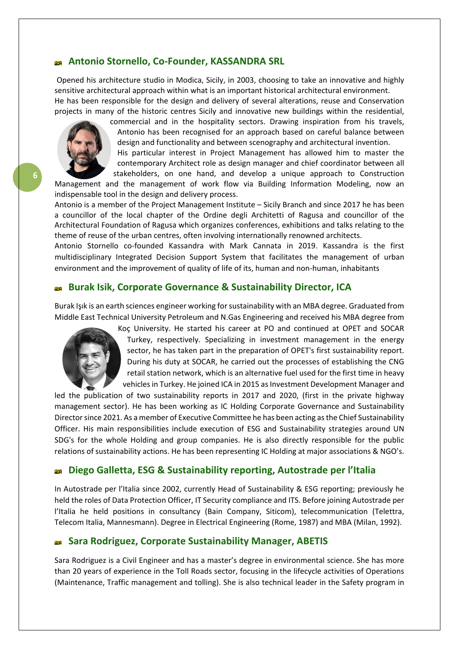#### **Antonio Stornello, Co-Founder, KASSANDRA SRL**

Opened his architecture studio in Modica, Sicily, in 2003, choosing to take an innovative and highly sensitive architectural approach within what is an important historical architectural environment. He has been responsible for the design and delivery of several alterations, reuse and Conservation projects in many of the historic centres Sicily and innovative new buildings within the residential,

> commercial and in the hospitality sectors. Drawing inspiration from his travels, Antonio has been recognised for an approach based on careful balance between design and functionality and between scenography and architectural invention.

His particular interest in Project Management has allowed him to master the contemporary Architect role as design manager and chief coordinator between all stakeholders, on one hand, and develop a unique approach to Construction

Management and the management of work flow via Building Information Modeling, now an indispensable tool in the design and delivery process.

Antonio is a member of the Project Management Institute – Sicily Branch and since 2017 he has been a councillor of the local chapter of the Ordine degli Architetti of Ragusa and councillor of the Architectural Foundation of Ragusa which organizes conferences, exhibitions and talks relating to the theme of reuse of the urban centres, often involving internationally renowned architects.

Antonio Stornello co-founded Kassandra with Mark Cannata in 2019. Kassandra is the first multidisciplinary Integrated Decision Support System that facilitates the management of urban environment and the improvement of quality of life of its, human and non-human, inhabitants

#### **Burak Isik, Corporate Governance & Sustainability Director, ICA**

Burak Işık is an earth sciences engineer working for sustainability with an MBA degree. Graduated from Middle East Technical University Petroleum and N.Gas Engineering and received his MBA degree from

> Koç University. He started his career at PO and continued at OPET and SOCAR Turkey, respectively. Specializing in investment management in the energy sector, he has taken part in the preparation of OPET's first sustainability report. During his duty at SOCAR, he carried out the processes of establishing the CNG retail station network, which is an alternative fuel used for the first time in heavy vehicles in Turkey. He joined ICA in 2015 as Investment Development Manager and

led the publication of two sustainability reports in 2017 and 2020, (first in the private highway management sector). He has been working as IC Holding Corporate Governance and Sustainability Director since 2021. As a member of Executive Committee he has been acting as the Chief Sustainability Officer. His main responsibilities include execution of ESG and Sustainability strategies around UN SDG's for the whole Holding and group companies. He is also directly responsible for the public relations of sustainability actions. He has been representing IC Holding at major associations & NGO's.

#### **Diego Galletta, ESG & Sustainability reporting, Autostrade per l'Italia** andi<br>Grid

In Autostrade per l'Italia since 2002, currently Head of Sustainability & ESG reporting; previously he held the roles of Data Protection Officer, IT Security compliance and ITS. Before joining Autostrade per l'Italia he held positions in consultancy (Bain Company, Siticom), telecommunication (Telettra, Telecom Italia, Mannesmann). Degree in Electrical Engineering (Rome, 1987) and MBA (Milan, 1992).

#### **Sara Rodriguez, Corporate Sustainability Manager, ABETIS**

Sara Rodriguez is a Civil Engineer and has a master's degree in environmental science. She has more than 20 years of experience in the Toll Roads sector, focusing in the lifecycle activities of Operations (Maintenance, Traffic management and tolling). She is also technical leader in the Safety program in

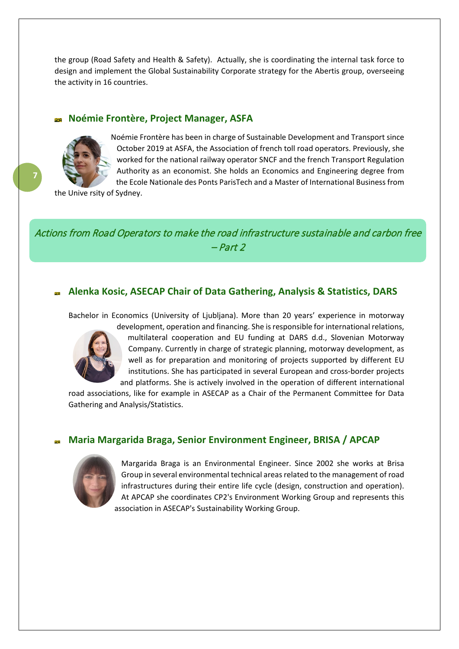the group (Road Safety and Health & Safety). Actually, she is coordinating the internal task force to design and implement the Global Sustainability Corporate strategy for the Abertis group, overseeing the activity in 16 countries.

#### **Noémie Frontère, Project Manager, ASFA**



**7**

Noémie Frontère has been in charge of Sustainable Development and Transport since October 2019 at ASFA, the Association of french toll road operators. Previously, she worked for the national railway operator SNCF and the french Transport Regulation Authority as an economist. She holds an Economics and Engineering degree from the Ecole Nationale des Ponts ParisTech and a Master of International Business from

the Unive rsity of Sydney.

Actions from Road Operators to make the road infrastructure sustainable and carbon free – Part 2

#### **Alenka Kosic, ASECAP Chair of Data Gathering, Analysis & Statistics, DARS**

Bachelor in Economics (University of Ljubljana). More than 20 years' experience in motorway



development, operation and financing. She is responsible for international relations, multilateral cooperation and EU funding at DARS d.d., Slovenian Motorway Company. Currently in charge of strategic planning, motorway development, as well as for preparation and monitoring of projects supported by different EU institutions. She has participated in several European and cross-border projects and platforms. She is actively involved in the operation of different international

road associations, like for example in ASECAP as a Chair of the Permanent Committee for Data Gathering and Analysis/Statistics.

#### **Maria Margarida Braga, Senior Environment Engineer, BRISA / APCAP**



Margarida Braga is an Environmental Engineer. Since 2002 she works at Brisa Group in several environmental technical areas related to the management of road infrastructures during their entire life cycle (design, construction and operation). At APCAP she coordinates CP2's Environment Working Group and represents this association in ASECAP's Sustainability Working Group.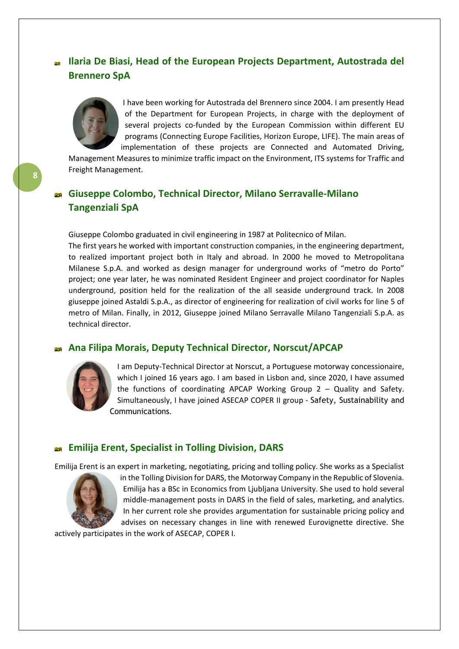# **Ilaria De Biasi, Head of the European Projects Department, Autostrada del Brennero SpA**



I have been working for Autostrada del Brennero since 2004. I am presently Head of the Department for European Projects, in charge with the deployment of several projects co-funded by the European Commission within different EU programs (Connecting Europe Facilities, Horizon Europe, LIFE). The main areas of implementation of these projects are Connected and Automated Driving,

Management Measures to minimize traffic impact on the Environment, ITS systems for Traffic and Freight Management.

# **Giuseppe Colombo, Technical Director, Milano Serravalle-Milano Tangenziali SpA**

Giuseppe Colombo graduated in civil engineering in 1987 at Politecnico of Milan.

The first years he worked with important construction companies, in the engineering department, to realized important project both in Italy and abroad. In 2000 he moved to Metropolitana Milanese S.p.A. and worked as design manager for underground works of "metro do Porto" project; one year later, he was nominated Resident Engineer and project coordinator for Naples underground, position held for the realization of the all seaside underground track. In 2008 giuseppe joined Astaldi S.p.A., as director of engineering for realization of civil works for line 5 of metro of Milan. Finally, in 2012, Giuseppe joined Milano Serravalle Milano Tangenziali S.p.A. as technical director.

#### **Ana Filipa Morais, Deputy Technical Director, Norscut/APCAP**



I am Deputy-Technical Director at Norscut, a Portuguese motorway concessionaire, which I joined 16 years ago. I am based in Lisbon and, since 2020, I have assumed the functions of coordinating APCAP Working Group 2 – Quality and Safety. Simultaneously, I have joined ASECAP COPER II group - Safety, Sustainability and Communications.

#### **Emilija Erent, Specialist in Tolling Division, DARS**

Emilija Erent is an expert in marketing, negotiating, pricing and tolling policy. She works as a Specialist



in the Tolling Division for DARS, the Motorway Company in the Republic of Slovenia. Emilija has a BSc in Economics from Ljubljana University. She used to hold several middle-management posts in DARS in the field of sales, marketing, and analytics. In her current role she provides argumentation for sustainable pricing policy and advises on necessary changes in line with renewed Eurovignette directive. She

actively participates in the work of ASECAP, COPER I.